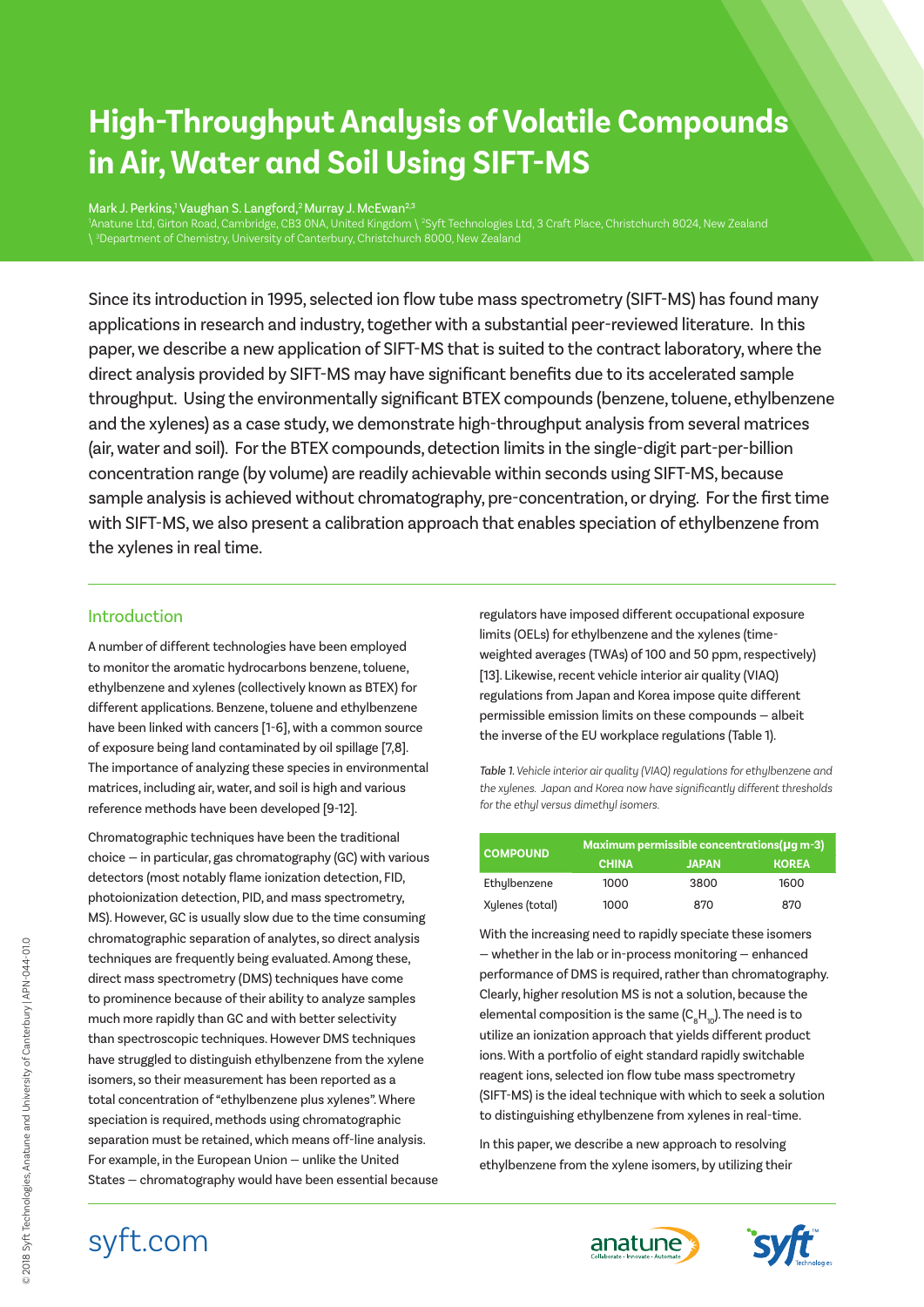# **High-Throughput Analysis of Volatile Compounds in Air, Water and Soil Using SIFT-MS**

Mark J. Perkins,<sup>1</sup> Vaughan S. Langford,<sup>2</sup> Murray J. McEwan<sup>2,3</sup> 'Anatune Ltd, Girton Road, Cambridge, CB3 ONA, United Kingdom \ <sup>2</sup>Syft Technologies Ltd, 3 Craft Place, Christchurch 8024, New Zealand

Since its introduction in 1995, selected ion flow tube mass spectrometry (SIFT-MS) has found many applications in research and industry, together with a substantial peer-reviewed literature. In this paper, we describe a new application of SIFT-MS that is suited to the contract laboratory, where the direct analysis provided by SIFT-MS may have significant benefits due to its accelerated sample throughput. Using the environmentally significant BTEX compounds (benzene, toluene, ethylbenzene and the xylenes) as a case study, we demonstrate high-throughput analysis from several matrices (air, water and soil). For the BTEX compounds, detection limits in the single-digit part-per-billion concentration range (by volume) are readily achievable within seconds using SIFT-MS, because sample analysis is achieved without chromatography, pre-concentration, or drying. For the first time with SIFT-MS, we also present a calibration approach that enables speciation of ethylbenzene from the xylenes in real time.

# Introduction

A number of different technologies have been employed to monitor the aromatic hydrocarbons benzene, toluene, ethylbenzene and xylenes (collectively known as BTEX) for different applications. Benzene, toluene and ethylbenzene have been linked with cancers [1-6], with a common source of exposure being land contaminated by oil spillage [7,8]. The importance of analyzing these species in environmental matrices, including air, water, and soil is high and various reference methods have been developed [9-12].

Chromatographic techniques have been the traditional choice — in particular, gas chromatography (GC) with various detectors (most notably flame ionization detection, FID, photoionization detection, PID, and mass spectrometry, MS). However, GC is usually slow due to the time consuming chromatographic separation of analytes, so direct analysis techniques are frequently being evaluated. Among these, direct mass spectrometry (DMS) techniques have come to prominence because of their ability to analyze samples much more rapidly than GC and with better selectivity than spectroscopic techniques. However DMS techniques have struggled to distinguish ethylbenzene from the xylene isomers, so their measurement has been reported as a total concentration of "ethylbenzene plus xylenes". Where speciation is required, methods using chromatographic separation must be retained, which means off-line analysis. For example, in the European Union — unlike the United States — chromatography would have been essential because

regulators have imposed different occupational exposure limits (OELs) for ethylbenzene and the xylenes (timeweighted averages (TWAs) of 100 and 50 ppm, respectively) [13]. Likewise, recent vehicle interior air quality (VIAQ) regulations from Japan and Korea impose quite different permissible emission limits on these compounds — albeit the inverse of the EU workplace regulations (Table 1).

*Table 1. Vehicle interior air quality (VIAQ) regulations for ethylbenzene and the xylenes. Japan and Korea now have significantly different thresholds for the ethyl versus dimethyl isomers.*

| <b>COMPOUND</b> | Maximum permissible concentrations ( $\mu$ q m-3) |              |              |  |  |
|-----------------|---------------------------------------------------|--------------|--------------|--|--|
|                 | <b>CHINA</b>                                      | <b>JAPAN</b> | <b>KOREA</b> |  |  |
| Ethylbenzene    | 1000                                              | 3800         | 1600         |  |  |
| Xylenes (total) | 1000                                              | 870          | 870          |  |  |

With the increasing need to rapidly speciate these isomers — whether in the lab or in-process monitoring — enhanced performance of DMS is required, rather than chromatography. Clearly, higher resolution MS is not a solution, because the elemental composition is the same (C $_{\rm 8}$ H $_{\rm 10}$ ). The need is to utilize an ionization approach that yields different product ions. With a portfolio of eight standard rapidly switchable reagent ions, selected ion flow tube mass spectrometry (SIFT-MS) is the ideal technique with which to seek a solution to distinguishing ethylbenzene from xylenes in real-time.

In this paper, we describe a new approach to resolving ethylbenzene from the xylene isomers, by utilizing their





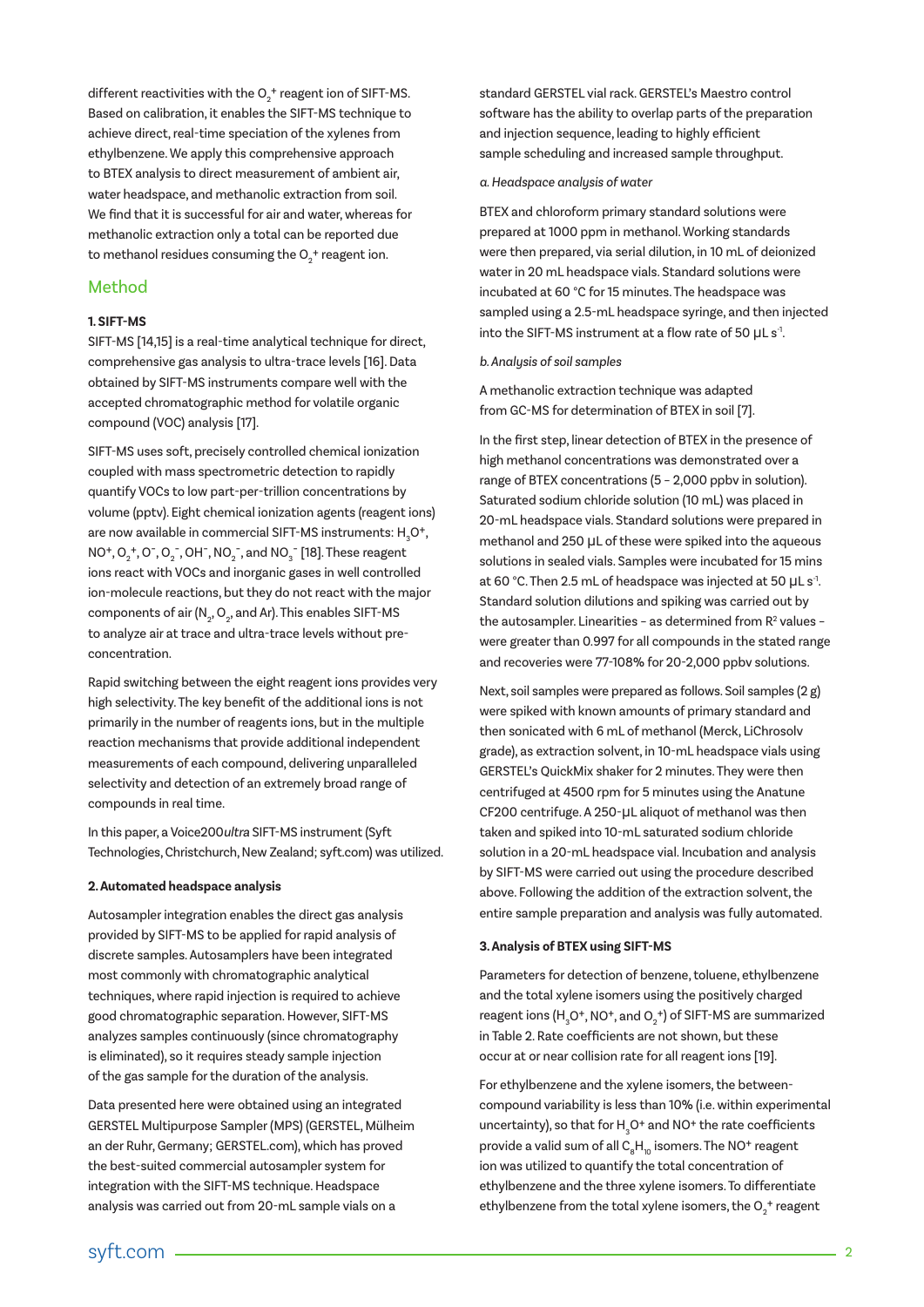different reactivities with the  $O_2^{\ +}$  reagent ion of SIFT-MS. Based on calibration, it enables the SIFT-MS technique to achieve direct, real-time speciation of the xylenes from ethylbenzene. We apply this comprehensive approach to BTEX analysis to direct measurement of ambient air, water headspace, and methanolic extraction from soil. We find that it is successful for air and water, whereas for methanolic extraction only a total can be reported due to methanol residues consuming the  $O_2^{\; +}$  reagent ion.

## Method

### **1. SIFT-MS**

SIFT-MS [14,15] is a real-time analytical technique for direct, comprehensive gas analysis to ultra-trace levels [16]. Data obtained by SIFT-MS instruments compare well with the accepted chromatographic method for volatile organic compound (VOC) analysis [17].

SIFT-MS uses soft, precisely controlled chemical ionization coupled with mass spectrometric detection to rapidly quantify VOCs to low part-per-trillion concentrations by volume (pptv). Eight chemical ionization agents (reagent ions) are now available in commercial SIFT-MS instruments:  $\rm H_{3}O^{+},$  $NO^+, O_2^+, O^-, O_2^-, OH^-, NO_2^-, and NO_3^-$  [18]. These reagent ions react with VOCs and inorganic gases in well controlled ion-molecule reactions, but they do not react with the major components of air (N $_{\textrm{\tiny{2}}}$ , O $_{\textrm{\tiny{2}}}$ , and Ar). This enables SIFT-MS to analyze air at trace and ultra-trace levels without preconcentration.

Rapid switching between the eight reagent ions provides very high selectivity. The key benefit of the additional ions is not primarily in the number of reagents ions, but in the multiple reaction mechanisms that provide additional independent measurements of each compound, delivering unparalleled selectivity and detection of an extremely broad range of compounds in real time.

In this paper, a Voice200ultra SIFT-MS instrument (Syft Technologies, Christchurch, New Zealand; syft.com) was utilized.

#### **2. Automated headspace analysis**

Autosampler integration enables the direct gas analysis provided by SIFT-MS to be applied for rapid analysis of discrete samples. Autosamplers have been integrated most commonly with chromatographic analytical techniques, where rapid injection is required to achieve good chromatographic separation. However, SIFT-MS analyzes samples continuously (since chromatography is eliminated), so it requires steady sample injection of the gas sample for the duration of the analysis.

Data presented here were obtained using an integrated GERSTEL Multipurpose Sampler (MPS) (GERSTEL, Mülheim an der Ruhr, Germany; GERSTEL.com), which has proved the best-suited commercial autosampler system for integration with the SIFT-MS technique. Headspace analysis was carried out from 20-mL sample vials on a

standard GERSTEL vial rack. GERSTEL's Maestro control software has the ability to overlap parts of the preparation and injection sequence, leading to highly efficient sample scheduling and increased sample throughput.

#### *a. Headspace analysis of water*

BTEX and chloroform primary standard solutions were prepared at 1000 ppm in methanol. Working standards were then prepared, via serial dilution, in 10 mL of deionized water in 20 mL headspace vials. Standard solutions were incubated at 60 °C for 15 minutes. The headspace was sampled using a 2.5-mL headspace syringe, and then injected into the SIFT-MS instrument at a flow rate of 50 µL s<sup>-1</sup>.

#### *b. Analysis of soil samples*

A methanolic extraction technique was adapted from GC-MS for determination of BTEX in soil [7].

In the first step, linear detection of BTEX in the presence of high methanol concentrations was demonstrated over a range of BTEX concentrations (5 – 2,000 ppbv in solution). Saturated sodium chloride solution (10 mL) was placed in 20-mL headspace vials. Standard solutions were prepared in methanol and 250 µL of these were spiked into the aqueous solutions in sealed vials. Samples were incubated for 15 mins at 60 °C. Then 2.5 mL of headspace was injected at 50 µL s<sup>-1</sup>. Standard solution dilutions and spiking was carried out by the autosampler. Linearities - as determined from  $R^2$  values were greater than 0.997 for all compounds in the stated range and recoveries were 77-108% for 20-2,000 ppbv solutions.

Next, soil samples were prepared as follows. Soil samples (2 g) were spiked with known amounts of primary standard and then sonicated with 6 mL of methanol (Merck, LiChrosolv grade), as extraction solvent, in 10-mL headspace vials using GERSTEL's QuickMix shaker for 2 minutes. They were then centrifuged at 4500 rpm for 5 minutes using the Anatune CF200 centrifuge. A 250-µL aliquot of methanol was then taken and spiked into 10-mL saturated sodium chloride solution in a 20-mL headspace vial. Incubation and analysis by SIFT-MS were carried out using the procedure described above. Following the addition of the extraction solvent, the entire sample preparation and analysis was fully automated.

#### **3. Analysis of BTEX using SIFT-MS**

Parameters for detection of benzene, toluene, ethylbenzene and the total xylene isomers using the positively charged reagent ions (H<sub>3</sub>O+, NO+, and O<sub>2</sub>+) of SIFT-MS are summarized in Table 2. Rate coefficients are not shown, but these occur at or near collision rate for all reagent ions [19].

For ethylbenzene and the xylene isomers, the betweencompound variability is less than 10% (i.e. within experimental uncertainty), so that for  $H_3O^+$  and NO<sup>+</sup> the rate coefficients provide a valid sum of all  $\mathsf{C}_\mathrm{s}\mathsf{H}_\mathrm{10}$  isomers. The NO<sup>+</sup> reagent ion was utilized to quantify the total concentration of ethylbenzene and the three xylene isomers. To differentiate ethylbenzene from the total xylene isomers, the  $O_{2}^{\; +}$  reagent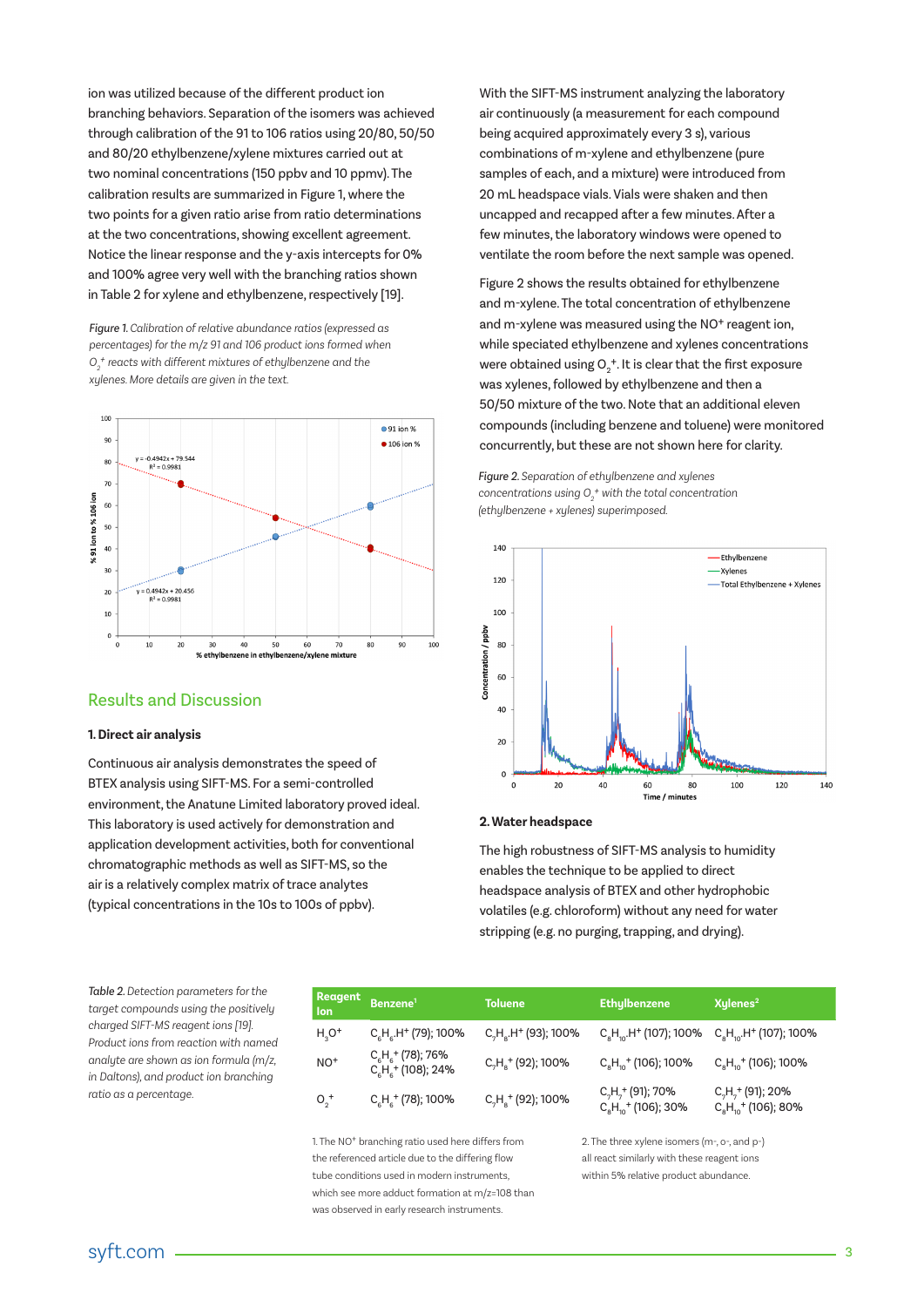ion was utilized because of the different product ion branching behaviors. Separation of the isomers was achieved through calibration of the 91 to 106 ratios using 20/80, 50/50 and 80/20 ethylbenzene/xylene mixtures carried out at two nominal concentrations (150 ppbv and 10 ppmv). The calibration results are summarized in Figure 1, where the two points for a given ratio arise from ratio determinations at the two concentrations, showing excellent agreement. Notice the linear response and the y-axis intercepts for 0% and 100% agree very well with the branching ratios shown in Table 2 for xylene and ethylbenzene, respectively [19].

*Figure 1. Calibration of relative abundance ratios (expressed as percentages) for the m/z 91 and 106 product ions formed when O2 + reacts with different mixtures of ethylbenzene and the xylenes. More details are given in the text.*



## Results and Discussion

#### **1. Direct air analysis**

Continuous air analysis demonstrates the speed of BTEX analysis using SIFT-MS. For a semi-controlled environment, the Anatune Limited laboratory proved ideal. This laboratory is used actively for demonstration and application development activities, both for conventional chromatographic methods as well as SIFT-MS, so the air is a relatively complex matrix of trace analytes (typical concentrations in the 10s to 100s of ppbv).

With the SIFT-MS instrument analyzing the laboratory air continuously (a measurement for each compound being acquired approximately every 3 s), various combinations of m-xylene and ethylbenzene (pure samples of each, and a mixture) were introduced from 20 mL headspace vials. Vials were shaken and then uncapped and recapped after a few minutes. After a few minutes, the laboratory windows were opened to ventilate the room before the next sample was opened.

Figure 2 shows the results obtained for ethylbenzene and m-xylene. The total concentration of ethylbenzene and m-xylene was measured using the NO<sup>+</sup> reagent ion, while speciated ethylbenzene and xylenes concentrations were obtained using  $\mathsf{O}_{\mathsf{2}}^{\mathsf{+}}.$  It is clear that the first exposure was xylenes, followed by ethylbenzene and then a 50/50 mixture of the two. Note that an additional eleven compounds (including benzene and toluene) were monitored concurrently, but these are not shown here for clarity.

*Figure 2. Separation of ethylbenzene and xylenes concentrations using*  $O_2^{\ +}$  with the total concentration *(ethylbenzene + xylenes) superimposed.* 



#### **2. Water headspace**

The high robustness of SIFT-MS analysis to humidity enables the technique to be applied to direct headspace analysis of BTEX and other hydrophobic volatiles (e.g. chloroform) without any need for water stripping (e.g. no purging, trapping, and drying).

*Table 2. Detection parameters for the target compounds using the positively charged SIFT-MS reagent ions [19]. Product ions from reaction with named analyte are shown as ion formula (m/z, in Daltons), and product ion branching ratio as a percentage.*

| Reagent<br><b>lon</b> | Benzene <sup>1</sup>                                      | <b>Toluene</b>          | <b>Ethylbenzene</b>                                   | Xylenes <sup>2</sup>                                 |
|-----------------------|-----------------------------------------------------------|-------------------------|-------------------------------------------------------|------------------------------------------------------|
| $H3O+$                | $C_{6}H_{6}H^{+}$ (79); 100%                              | $C_7H_s.H^+$ (93); 100% | $C_8H_{10}H^+$ (107); 100% $C_8H_{10}H^+$ (107); 100% |                                                      |
| $NO+$                 | $C_{6}H_{6}^{+}$ (78); 76%<br>$C_{6}H_{6}^{+}$ (108); 24% | $C_7H_8^+$ (92); 100%   | $C_{8}H_{10}^{+}$ (106); 100%                         | $C_{\rm s}H_{\rm m}$ <sup>+</sup> (106); 100%        |
| $O_2^+$               | $C_{\rm g}H_{\rm g}^+$ (78); 100%                         | $C_7H_8^+$ (92); 100%   | $C_7H_7^+$ (91); 70%<br>$C_{8}H_{10}^{+}$ (106); 30%  | $C_7H_7^+$ (91); 20%<br>$C_{8}H_{10}^{+}$ (106); 80% |

1. The NO<sup>+</sup> branching ratio used here differs from the referenced article due to the differing flow tube conditions used in modern instruments, which see more adduct formation at m/z=108 than was observed in early research instruments.

2. The three xylene isomers (m-, o-, and p-) all react similarly with these reagent ions within 5% relative product abundance.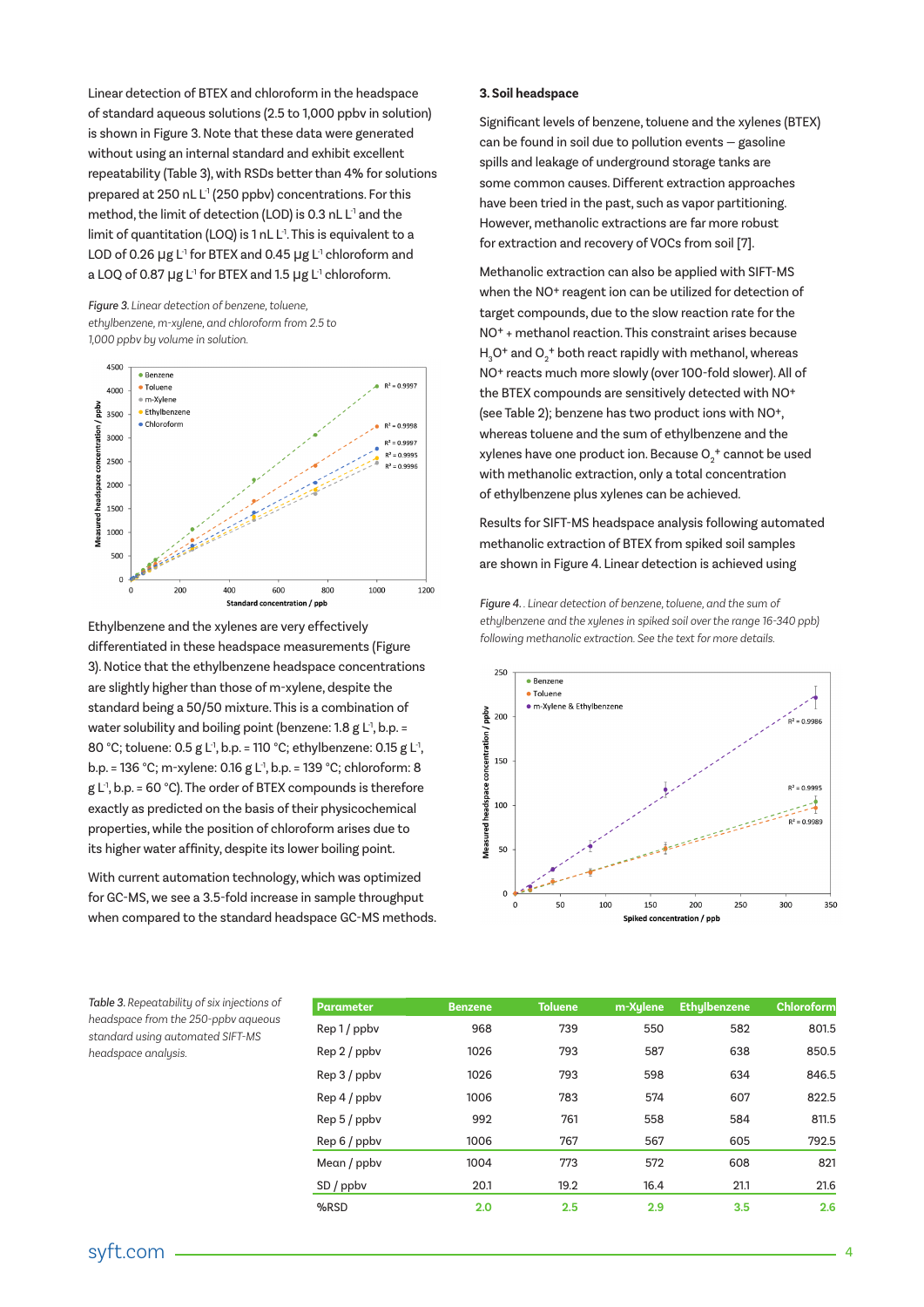Linear detection of BTEX and chloroform in the headspace of standard aqueous solutions (2.5 to 1,000 ppbv in solution) is shown in Figure 3. Note that these data were generated without using an internal standard and exhibit excellent repeatability (Table 3), with RSDs better than 4% for solutions prepared at 250 nL L<sup>-1</sup> (250 ppbv) concentrations. For this method, the limit of detection (LOD) is 0.3 nL L<sup>1</sup> and the limit of quantitation (LOO) is 1 nL L<sup>1</sup>. This is equivalent to a LOD of 0.26  $\mu$ g L<sup>-1</sup> for BTEX and 0.45  $\mu$ g L<sup>-1</sup> chloroform and a LOQ of 0.87 µg L<sup>1</sup> for BTEX and 1.5 µg L<sup>1</sup> chloroform.

*Figure 3. Linear detection of benzene, toluene, ethylbenzene, m-xylene, and chloroform from 2.5 to 1,000 ppbv by volume in solution.*



Ethylbenzene and the xylenes are very effectively differentiated in these headspace measurements (Figure 3). Notice that the ethylbenzene headspace concentrations are slightly higher than those of m-xylene, despite the standard being a 50/50 mixture. This is a combination of water solubility and boiling point (benzene:  $1.8 \text{ g L}^1$ , b.p. = 80 °C; toluene: 0.5 g L<sup>1</sup>, b.p. = 110 °C; ethylbenzene: 0.15 g L<sup>1</sup>, b.p. = 136 °C; m-xylene: 0.16 g L-1, b.p. = 139 °C; chloroform: 8  $g L<sup>1</sup>$ , b.p. = 60 °C). The order of BTEX compounds is therefore exactly as predicted on the basis of their physicochemical properties, while the position of chloroform arises due to its higher water affinity, despite its lower boiling point.

With current automation technology, which was optimized for GC-MS, we see a 3.5-fold increase in sample throughput when compared to the standard headspace GC-MS methods. **3. Soil headspace**

Significant levels of benzene, toluene and the xylenes (BTEX) can be found in soil due to pollution events — gasoline spills and leakage of underground storage tanks are some common causes. Different extraction approaches have been tried in the past, such as vapor partitioning. However, methanolic extractions are far more robust for extraction and recovery of VOCs from soil [7].

Methanolic extraction can also be applied with SIFT-MS when the NO+ reagent ion can be utilized for detection of target compounds, due to the slow reaction rate for the NO+ + methanol reaction. This constraint arises because  $H_3O^+$  and  $O_2^+$  both react rapidly with methanol, whereas NO+ reacts much more slowly (over 100-fold slower). All of the BTEX compounds are sensitively detected with NO+ (see Table 2); benzene has two product ions with NO+, whereas toluene and the sum of ethylbenzene and the xylenes have one product ion. Because  $O_2^{\phantom{\ast}}$  cannot be used with methanolic extraction, only a total concentration of ethylbenzene plus xylenes can be achieved.

Results for SIFT-MS headspace analysis following automated methanolic extraction of BTEX from spiked soil samples are shown in Figure 4. Linear detection is achieved using

*Figure 4. . Linear detection of benzene, toluene, and the sum of ethylbenzene and the xylenes in spiked soil over the range 16-340 ppb) following methanolic extraction. See the text for more details.*



|      | Parameter    | <b>Benzene</b> | <b>Toluene</b> | m-Xulene | <b>Ethylbenzene</b> | Chloroform |
|------|--------------|----------------|----------------|----------|---------------------|------------|
|      | Rep 1 / ppbv | 968            | 739            | 550      | 582                 | 801.5      |
|      | Rep 2 / ppbv | 1026           | 793            | 587      | 638                 | 850.5      |
|      | Rep 3 / ppbv | 1026           | 793            | 598      | 634                 | 846.5      |
|      | Rep 4 / ppbv | 1006           | 783            | 574      | 607                 | 822.5      |
|      | Rep 5 / ppbv | 992            | 761            | 558      | 584                 | 811.5      |
|      | Rep 6 / ppbv | 1006           | 767            | 567      | 605                 | 792.5      |
|      | Mean / ppbv  | 1004           | 773            | 572      | 608                 | 821        |
|      | $SD$ / ppbv  | 20.1           | 19.2           | 16.4     | 21.1                | 21.6       |
| %RSD |              | 2.0            | 2.5            | 2.9      | 3.5                 | 2.6        |

*Table 3. Repeatability of six injections of headspace from the 250-ppbv aqueous standard using automated SIFT-MS headspace analysis.*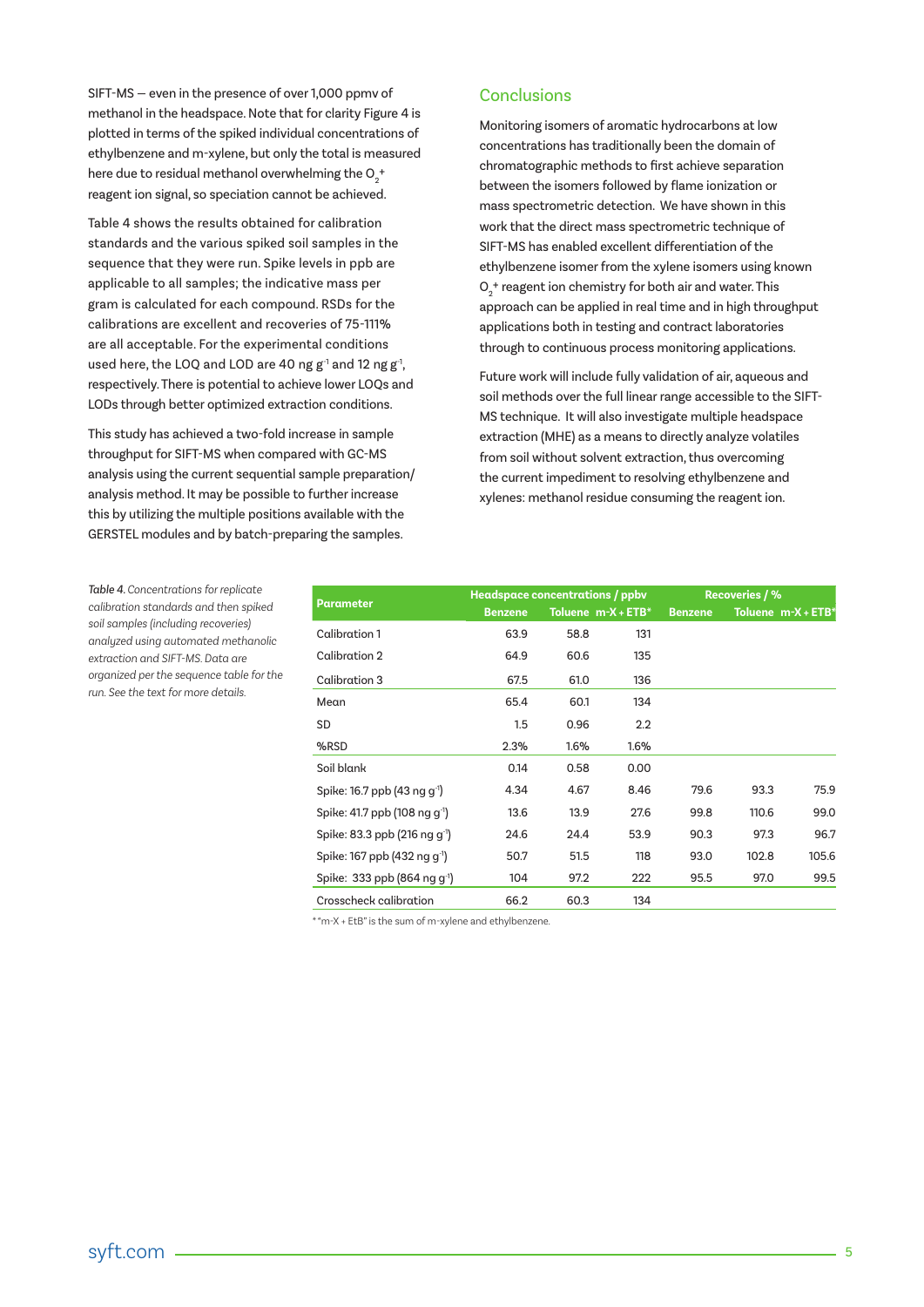SIFT-MS — even in the presence of over 1,000 ppmv of methanol in the headspace. Note that for clarity Figure 4 is plotted in terms of the spiked individual concentrations of ethylbenzene and m-xylene, but only the total is measured here due to residual methanol overwhelming the  $O_2^{\phantom{\ast} +}$ reagent ion signal, so speciation cannot be achieved.

Table 4 shows the results obtained for calibration standards and the various spiked soil samples in the sequence that they were run. Spike levels in ppb are applicable to all samples; the indicative mass per gram is calculated for each compound. RSDs for the calibrations are excellent and recoveries of 75-111% are all acceptable. For the experimental conditions used here, the LOQ and LOD are 40 ng  $g^{-1}$  and 12 ng  $g^{-1}$ , respectively. There is potential to achieve lower LOQs and LODs through better optimized extraction conditions.

This study has achieved a two-fold increase in sample throughput for SIFT-MS when compared with GC-MS analysis using the current sequential sample preparation/ analysis method. It may be possible to further increase this by utilizing the multiple positions available with the GERSTEL modules and by batch-preparing the samples.

# **Conclusions**

Monitoring isomers of aromatic hydrocarbons at low concentrations has traditionally been the domain of chromatographic methods to first achieve separation between the isomers followed by flame ionization or mass spectrometric detection. We have shown in this work that the direct mass spectrometric technique of SIFT-MS has enabled excellent differentiation of the ethylbenzene isomer from the xylene isomers using known  $\mathsf{O}_2^{\vphantom{\dagger}}$  reagent ion chemistry for both air and water. This approach can be applied in real time and in high throughput applications both in testing and contract laboratories through to continuous process monitoring applications.

Future work will include fully validation of air, aqueous and soil methods over the full linear range accessible to the SIFT-MS technique. It will also investigate multiple headspace extraction (MHE) as a means to directly analyze volatiles from soil without solvent extraction, thus overcoming the current impediment to resolving ethylbenzene and xylenes: methanol residue consuming the reagent ion.

| Parameter                                 | Headspace concentrations / ppbv |      |                       | <b>Recoveries / %</b> |       |                    |
|-------------------------------------------|---------------------------------|------|-----------------------|-----------------------|-------|--------------------|
|                                           | <b>Benzene</b>                  |      | Toluene $m-X + ETB^*$ | <b>Benzene</b>        |       | Toluene m-X + ETB* |
| Calibration 1                             | 63.9                            | 58.8 | 131                   |                       |       |                    |
| Calibration 2                             | 64.9                            | 60.6 | 135                   |                       |       |                    |
| Calibration 3                             | 67.5                            | 61.0 | 136                   |                       |       |                    |
| Mean                                      | 65.4                            | 60.1 | 134                   |                       |       |                    |
| <b>SD</b>                                 | 1.5                             | 0.96 | 2.2                   |                       |       |                    |
| %RSD                                      | 2.3%                            | 1.6% | 1.6%                  |                       |       |                    |
| Soil blank                                | 0.14                            | 0.58 | 0.00                  |                       |       |                    |
| Spike: 16.7 ppb (43 ng $q^{-1}$ )         | 4.34                            | 4.67 | 8.46                  | 79.6                  | 93.3  | 75.9               |
| Spike: 41.7 ppb (108 ng g <sup>-1</sup> ) | 13.6                            | 13.9 | 27.6                  | 99.8                  | 110.6 | 99.0               |
| Spike: 83.3 ppb (216 ng q <sup>-1</sup> ) | 24.6                            | 24.4 | 53.9                  | 90.3                  | 97.3  | 96.7               |
| Spike: 167 ppb (432 ng q <sup>-1</sup> )  | 50.7                            | 51.5 | 118                   | 93.0                  | 102.8 | 105.6              |
| Spike: 333 ppb (864 ng q <sup>-1</sup> )  | 104                             | 97.2 | 222                   | 95.5                  | 97.0  | 99.5               |
| Crosscheck calibration                    | 66.2                            | 60.3 | 134                   |                       |       |                    |

\* "m-X + EtB" is the sum of m-xylene and ethylbenzene.

*Table 4. Concentrations for replicate calibration standards and then spiked soil samples (including recoveries) analyzed using automated methanolic extraction and SIFT-MS. Data are organized per the sequence table for the run. See the text for more details.*